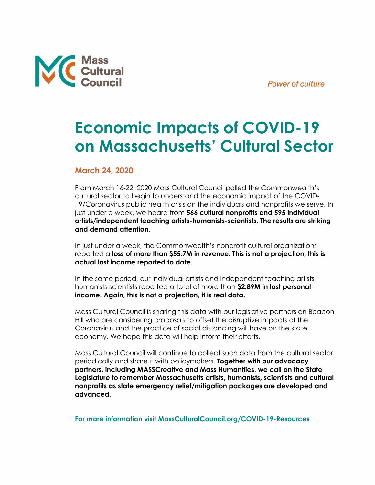



## **Economic Impacts of COVID-19 on Massachusetts' Cultural Sector**

## **March 24, 2020**

From March 16-22, 2020 Mass Cultural Council polled the Commonwealth's cultural sector to begin to understand the economic impact of the COVID-19/Coronavirus public health crisis on the individuals and nonprofits we serve. In just under a week, we heard from **566 cultural nonprofits and 595 individual artists/independent teaching artists-humanists-scientists**. **The results are striking and demand attention.** 

In just under a week, the Commonwealth's nonprofit cultural organizations reported a **loss of more than \$55.7M in revenue. This is not a projection; this is actual lost income reported to date.** 

In the same period, our individual artists and independent teaching artistshumanists-scientists reported a total of more than **\$2.89M in lost personal income. Again, this is not a projection, it is real data.**

Mass Cultural Council is sharing this data with our legislative partners on Beacon Hill who are considering proposals to offset the disruptive impacts of the Coronavirus and the practice of social distancing will have on the state economy. We hope this data will help inform their efforts.

Mass Cultural Council will continue to collect such data from the cultural sector periodically and share it with policymakers. **Together with our advocacy partners, including MASSCreative and Mass Humanities, we call on the State Legislature to remember Massachusetts artists, humanists, scientists and cultural nonprofits as state emergency relief/mitigation packages are developed and advanced.** 

**For more information visit [MassCulturalCouncil.org/COVID-19-Resources](https://massculturalcouncil.org/COVID-19-Resources/)**